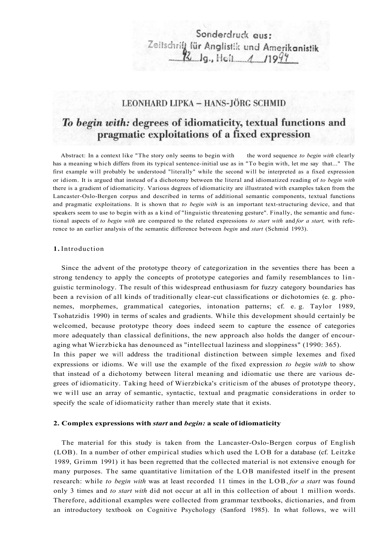# Sonderdruck aus: Zeitschrift für Anglistik und Amerikanistik

### LEONHARD LIPKA - HANS-JÖRG SCHMID

## To begin with: degrees of idiomaticity, textual functions and pragmatic exploitations of a fixed expression

Abstract: In a context like "The story only seems to begin with the word sequence *to begin with* clearly has a meaning which differs from its typical sentence-initial use as in "To begin with, let me say that..." The first example will probably be understood "literally" while the second will be interpreted as a fixed expression or idiom. It is argued that instead of a dichotomy between the literal and idiomatized reading of *to begin with*  there is a gradient of idiomaticity. Various degrees of idiomaticity are illustrated with examples taken from the Lancaster-Oslo-Bergen corpus and described in terms of additional semantic components, textual functions and pragmatic exploitations. It is shown that *to begin with* is an important text-structuring device, and that speakers seem to use to begin with as a kind of "linguistic threatening gesture". Finally, the semantic and functional aspects of *to begin with* are compared to the related expressions *to start with* and *for a start,* with reference to an earlier analysis of the semantic difference between *begin* and *start* (Schmid 1993).

#### **1.** Introduction

Since the advent of the prototype theory of categorization in the seventies there has been a strong tendency to apply the concepts of prototype categories and family resemblances to linguistic terminology. The result of this widespread enthusiasm for fuzzy category boundaries has been a revision of all kinds of traditionally clear-cut classifications or dichotomies (e. g. phonemes, morphemes, grammatical categories, intonation patterns; cf. e. g. Taylor 1989, Tsohatzidis 1990) in terms of scales and gradients. While this development should certainly be welcomed, because prototype theory does indeed seem to capture the essence of categories more adequately than classical definitions, the new approach also holds the danger of encouraging what Wierzbicka has denounced as "intellectual laziness and sloppiness" (1990: 365). In this paper we will address the traditional distinction between simple lexemes and fixed expressions or idioms. We will use the example of the fixed expression *to begin with* to show that instead of a dichotomy between literal meaning and idiomatic use there are various degrees of idiomaticity. Taking heed of Wierzbicka's criticism of the abuses of prototype theory, we will use an array of semantic, syntactic, textual and pragmatic considerations in order to specify the scale of idiomaticity rather than merely state that it exists.

#### **2. Complex expressions with** *start* **and** *begin:* **a scale of idiomaticity**

The material for this study is taken from the Lancaster-Oslo-Bergen corpus of English (LOB). In a number of other empirical studies which used the LOB for a database (cf. Leitzke 1989, Grimm 1991) it has been regretted that the collected material is not extensive enough for many purposes. The same quantitative limitation of the LOB manifested itself in the present research: while *to begin with* was at least recorded 11 times in the LOB, *for a start* was found only 3 times and *to start with* did not occur at all in this collection of about 1 million words. Therefore, additional examples were collected from grammar textbooks, dictionaries, and from an introductory textbook on Cognitive Psychology (Sanford 1985). In what follows, we will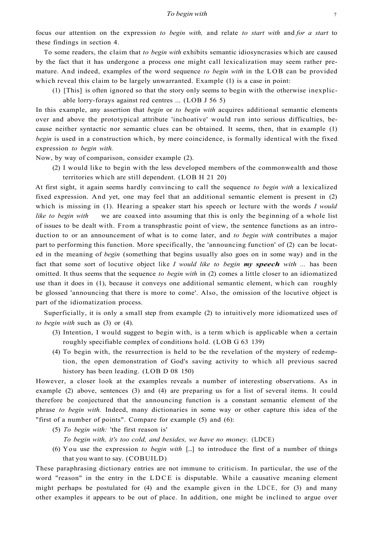focus our attention on the expression *to begin with,* and relate *to start with* and *for a start* to these findings in section 4.

To some readers, the claim that *to begin with* exhibits semantic idiosyncrasies which are caused by the fact that it has undergone a process one might call lexicalization may seem rather premature. And indeed, examples of the word sequence *to begin with* in the LOB can be provided which reveal this claim to be largely unwarranted. Example (1) is a case in point:

(1) [This] is often ignored so that the story only seems to begin with the otherwise inexplicable lorry-forays against red centres ... (LOB J 56 5)

In this example, any assertion that *begin* or *to begin with* acquires additional semantic elements over and above the prototypical attribute 'inchoative' would run into serious difficulties, because neither syntactic nor semantic clues can be obtained. It seems, then, that in example (1) *begin* is used in a construction which, by mere coincidence, is formally identical with the fixed expression *to begin with.* 

Now, by way of comparison, consider example (2).

(2) I would like to begin with the less developed members of the commonwealth and those territories which are still dependent. (LOB H 21 20)

At first sight, it again seems hardly convincing to call the sequence *to begin with* a lexicalized fixed expression. And yet, one may feel that an additional semantic element is present in (2) which is missing in (1). Hearing a speaker start his speech or lecture with the words *I would like to begin with* we are coaxed into assuming that this is only the beginning of a whole list of issues to be dealt with. From a transphrastic point of view, the sentence functions as an introduction to or an announcement of what is to come later, and *to begin with* contributes a major part to performing this function. More specifically, the 'announcing function' of (2) can be located in the meaning of *begin* (something that begins usually also goes on in some way) and in the fact that some sort of locutive object like *I would like to begin my speech with ...* has been omitted. It thus seems that the sequence *to begin with* in (2) comes a little closer to an idiomatized use than it does in (1), because it conveys one additional semantic element, which can roughly be glossed 'announcing that there is more to come'. Also, the omission of the locutive object is part of the idiomatization process.

Superficially, it is only a small step from example (2) to intuitively more idiomatized uses of *to begin with* such as (3) or (4).

- (3) Intention, I would suggest to begin with, is a term which is applicable when a certain roughly specifiable complex of conditions hold. (LOB G 63 139)
- (4) To begin with, the resurrection is held to be the revelation of the mystery of redemption, the open demonstration of God's saving activity to which all previous sacred history has been leading. (LOB D 08 150)

However, a closer look at the examples reveals a number of interesting observations. As in example (2) above, sentences (3) and (4) are preparing us for a list of several items. It could therefore be conjectured that the announcing function is a constant semantic element of the phrase *to begin with.* Indeed, many dictionaries in some way or other capture this idea of the "first of a number of points". Compare for example (5) and (6):

- (5) *To begin with:* 'the first reason is'
	- *To begin with, it's too cold, and besides, we have no money.* (LDCE)
- (6) You use the expression *to begin with* [...] to introduce the first of a number of things that you want to say. (COBUILD)

These paraphrasing dictionary entries are not immune to criticism. In particular, the use of the word "reason" in the entry in the LDCE is disputable. While a causative meaning element might perhaps be postulated for (4) and the example given in the LDCE, for (3) and many other examples it appears to be out of place. In addition, one might be inclined to argue over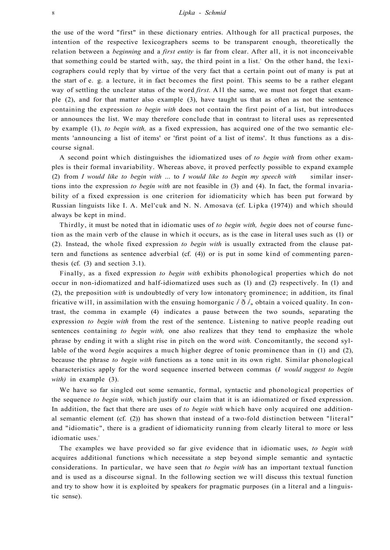the use of the word "first" in these dictionary entries. Although for all practical purposes, the intention of the respective lexicographers seems to be transparent enough, theoretically the relation between a *beginning* and a *first entity* is far from clear. After all, it is not inconceivable that something could be started with, say, the third point in a list. On the other hand, the lexicographers could reply that by virtue of the very fact that a certain point out of many is put at the start of e. g. a lecture, it in fact becomes the first point. This seems to be a rather elegant way of settling the unclear status of the word *first*. All the same, we must not forget that example (2), and for that matter also example (3), have taught us that as often as not the sentence containing the expression *to begin with* does not contain the first point of a list, but introduces or announces the list. We may therefore conclude that in contrast to literal uses as represented by example (1), *to begin with,* as a fixed expression, has acquired one of the two semantic elements 'announcing a list of items' or 'first point of a list of items'. It thus functions as a discourse signal.

A second point which distinguishes the idiomatized uses of *to begin with* from other examples is their formal invariability. Whereas above, it proved perfectly possible to expand example (2) from *I would like to begin with* ... to *I would like to begin my speech with* similar insertions into the expression *to begin with* are not feasible in (3) and (4). In fact, the formal invariability of a fixed expression is one criterion for idiomaticity which has been put forward by Russian linguists like I. A. Mel'cuk and N. N. Amosava (cf. Lipka (1974)) and which should always be kept in mind.

Thirdly, it must be noted that in idiomatic uses of *to begin with, begin* does not of course function as the main verb of the clause in which it occurs, as is the case in literal uses such as (1) or (2). Instead, the whole fixed expression *to begin with* is usually extracted from the clause pattern and functions as sentence adverbial (cf. (4)) or is put in some kind of commenting parenthesis (cf. (3) and section 3.1).

Finally, as a fixed expression *to begin with* exhibits phonological properties which do not occur in non-idiomatized and half-idiomatized uses such as (1) and (2) respectively. In (1) and (2), the preposition *with* is undoubtedly of very low intonatory prominence; in addition, its final fricative will, in assimilation with the ensuing homorganic  $\delta / \delta / \delta$ , obtain a voiced quality. In contrast, the comma in example (4) indicates a pause between the two sounds, separating the expression *to begin with* from the rest of the sentence. Listening to native people reading out sentences containing *to begin with,* one also realizes that they tend to emphasize the whole phrase by ending it with a slight rise in pitch on the word *with.* Concomitantly, the second syllable of the word *begin* acquires a much higher degree of tonic prominence than in (1) and (2), because the phrase *to begin with* functions as a tone unit in its own right. Similar phonological characteristics apply for the word sequence inserted between commas (*I would suggest to begin with)* in example (3).

We have so far singled out some semantic, formal, syntactic and phonological properties of the sequence *to begin with,* which justify our claim that it is an idiomatized or fixed expression. In addition, the fact that there are uses of *to begin with* which have only acquired one additional semantic element (cf. (2)) has shown that instead of a two-fold distinction between "literal" and "idiomatic", there is a gradient of idiomaticity running from clearly literal to more or less idiomatic uses.<sup>2</sup>

The examples we have provided so far give evidence that in idiomatic uses, *to begin with*  acquires additional functions which necessitate a step beyond simple semantic and syntactic considerations. In particular, we have seen that *to begin with* has an important textual function and is used as a discourse signal. In the following section we will discuss this textual function and try to show how it is exploited by speakers for pragmatic purposes (in a literal and a linguistic sense).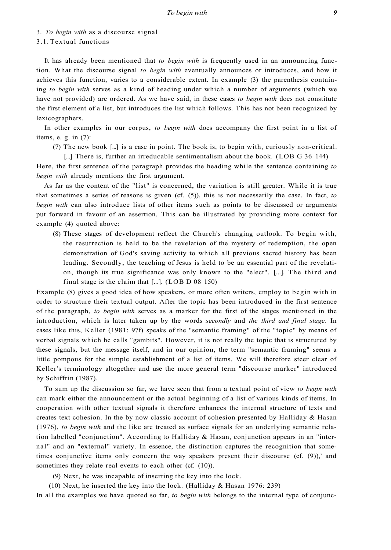3. *To begin with* as a discourse signal

*begin with* already mentions the first argument.

#### 3.1. Textual functions

It has already been mentioned that *to begin with* is frequently used in an announcing function. What the discourse signal *to begin with* eventually announces or introduces, and how it achieves this function, varies to a considerable extent. In example (3) the parenthesis containing *to begin with* serves as a kind of heading under which a number of arguments (which we have not provided) are ordered. As we have said, in these cases *to begin with* does not constitute the first element of a list, but introduces the list which follows. This has not been recognized by lexicographers.

In other examples in our corpus, *to begin with* does accompany the first point in a list of items, e. g. in (7):

(7) The new book [...] is a case in point. The book is, to begin with, curiously non-critical.

[...] There is, further an irreducable sentimentalism about the book. (LOB G 36 144) Here, the first sentence of the paragraph provides the heading while the sentence containing *to* 

As far as the content of the "list" is concerned, the variation is still greater. While it is true that sometimes a series of reasons is given (cf. (5)), this is not necessarily the case. In fact, *to begin with* can also introduce lists of other items such as points to be discussed or arguments put forward in favour of an assertion. This can be illustrated by providing more context for example (4) quoted above:

(8) These stages of development reflect the Church's changing outlook. To begin with, the resurrection is held to be the revelation of the mystery of redemption, the open demonstration of God's saving activity to which all previous sacred history has been leading. Secondly, the teaching of Jesus is held to be an essential part of the revelation, though its true significance was only known to the "elect". [...]. The third and final stage is the claim that [...]. (LOB D 08 150)

Example (8) gives a good idea of how speakers, or more often writers, employ to begin with in order to structure their textual output. After the topic has been introduced in the first sentence of the paragraph, *to begin with* serves as a marker for the first of the stages mentioned in the introduction, which is later taken up by the words *secondly* and *the third and final stage.* In cases like this, Keller (1981: 97f) speaks of the "semantic framing" of the "topic" by means of verbal signals which he calls "gambits". However, it is not really the topic that is structured by these signals, but the message itself, and in our opinion, the term "semantic framing" seems a little pompous for the simple establishment of a list of items. We will therefore steer clear of Keller's terminology altogether and use the more general term "discourse marker" introduced by Schiffrin (1987).

To sum up the discussion so far, we have seen that from a textual point of view *to begin with*  can mark either the announcement or the actual beginning of a list of various kinds of items. In cooperation with other textual signals it therefore enhances the internal structure of texts and creates text cohesion. In the by now classic account of cohesion presented by Halliday  $\&$  Hasan (1976), *to begin with* and the like are treated as surface signals for an underlying semantic relation labelled "conjunction". According to Halliday & Hasan, conjunction appears in an "internal" and an "external" variety. In essence, the distinction captures the recognition that sometimes conjunctive items only concern the way speakers present their discourse (cf.  $(9)$ ), and sometimes they relate real events to each other (cf. (10)).

(9) Next, he was incapable of inserting the key into the lock.

(10) Next, he inserted the key into the lock. (Halliday & Hasan 1976: 239)

In all the examples we have quoted so far, *to begin with* belongs to the internal type of conjunc-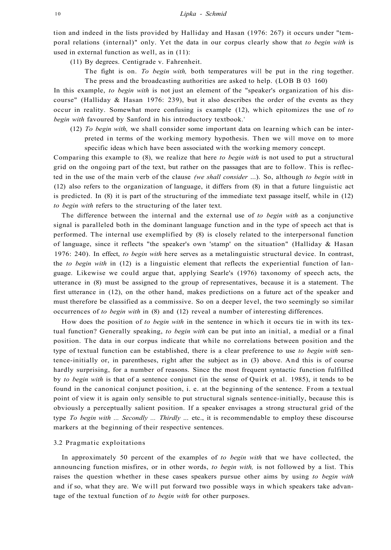tion and indeed in the lists provided by Halliday and Hasan (1976: 267) it occurs under "temporal relations (internal)" only. Yet the data in our corpus clearly show that *to begin with* is used in external function as well, as in (11):

(11) By degrees. Centigrade v. Fahrenheit.

The fight is on. *To begin with,* both temperatures will be put in the ring together. The press and the broadcasting authorities are asked to help. (LOB B 03 160)

In this example, *to begin with* is not just an element of the "speaker's organization of his discourse" (Halliday  $\&$  Hasan 1976: 239), but it also describes the order of the events as they occur in reality. Somewhat more confusing is example (12), which epitomizes the use of *to begin with* favoured by Sanford in his introductory textbook.<sup>4</sup>

(12) *To begin with,* we shall consider some important data on learning which can be interpreted in terms of the working memory hypothesis. Then we will move on to more specific ideas which have been associated with the working memory concept.

Comparing this example to (8), we realize that here *to begin with* is not used to put a structural grid on the ongoing part of the text, but rather on the passages that are to follow. This is reflected in the use of the main verb of the clause *(we shall consider* ...). So, although *to begin with* in (12) also refers to the organization of language, it differs from (8) in that a future linguistic act is predicted. In (8) it is part of the structuring of the immediate text passage itself, while in (12) *to begin with* refers to the structuring of the later text.

The difference between the internal and the external use of *to begin with* as a conjunctive signal is paralleled both in the dominant language function and in the type of speech act that is performed. The internal use exemplified by (8) is closely related to the interpersonal function of language, since it reflects "the speaker's own 'stamp' on the situation" (Halliday  $\&$  Hasan 1976: 240). In effect, *to begin with* here serves as a metalinguistic structural device. In contrast, the *to begin with* in (12) is a linguistic element that reflects the experiential function of language. Likewise we could argue that, applying Searle's (1976) taxonomy of speech acts, the utterance in (8) must be assigned to the group of representatives, because it is a statement. The first utterance in (12), on the other hand, makes predictions on a future act of the speaker and must therefore be classified as a commissive. So on a deeper level, the two seemingly so similar occurrences of *to begin with* in (8) and (12) reveal a number of interesting differences.

How does the position of *to begin with* in the sentence in which it occurs tie in with its textual function? Generally speaking, *to begin with* can be put into an initial, a medial or a final position. The data in our corpus indicate that while no correlations between position and the type of textual function can be established, there is a clear preference to use *to begin with* sentence-initially or, in parentheses, right after the subject as in (3) above. And this is of course hardly surprising, for a number of reasons. Since the most frequent syntactic function fulfilled by *to begin with* is that of a sentence conjunct (in the sense of Quirk et al. 1985), it tends to be found in the canonical conjunct position, i. e. at the beginning of the sentence. From a textual point of view it is again only sensible to put structural signals sentence-initially, because this is obviously a perceptually salient position. If a speaker envisages a strong structural grid of the type *To begin with ... Secondly ... Thirdly* ... etc., it is recommendable to employ these discourse markers at the beginning of their respective sentences.

#### 3.2 Pragmatic exploitations

In approximately 50 percent of the examples of *to begin with* that we have collected, the announcing function misfires, or in other words, *to begin with,* is not followed by a list. This raises the question whether in these cases speakers pursue other aims by using *to begin with*  and if so, what they are. We will put forward two possible ways in which speakers take advantage of the textual function of *to begin with* for other purposes.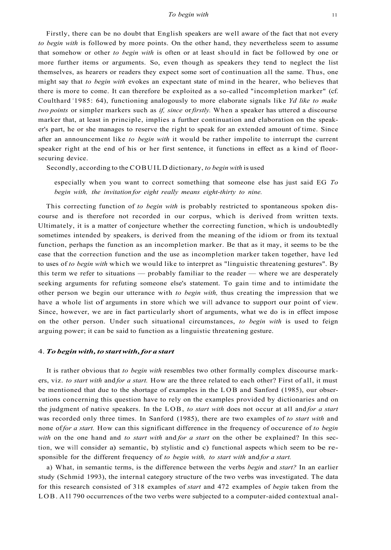Firstly, there can be no doubt that English speakers are well aware of the fact that not every *to begin with* is followed by more points. On the other hand, they nevertheless seem to assume that somehow or other *to begin with* is often or at least should in fact be followed by one or more further items or arguments. So, even though as speakers they tend to neglect the list themselves, as hearers or readers they expect some sort of continuation all the same. Thus, one might say that *to begin with* evokes an expectant state of mind in the hearer, who believes that there is more to come. It can therefore be exploited as a so-called "incompletion marker" (cf. Coulthard <sup>2</sup> 1985: 64), functioning analogously to more elaborate signals like *Yd like to make two points* or simpler markers such as *if, since* or *firstly.* When a speaker has uttered a discourse marker that, at least in principle, implies a further continuation and elaboration on the speaker's part, he or she manages to reserve the right to speak for an extended amount of time. Since after an announcement like *to begin with* it would be rather impolite to interrupt the current speaker right at the end of his or her first sentence, it functions in effect as a kind of floorsecuring device.

Secondly, according to the COBUILD dictionary, *to begin with* is used

especially when you want to correct something that someone else has just said EG *To begin with, the invitation for eight really means eight-thirty to nine.* 

This correcting function of *to begin with* is probably restricted to spontaneous spoken discourse and is therefore not recorded in our corpus, which is derived from written texts. Ultimately, it is a matter of conjecture whether the correcting function, which is undoubtedly sometimes intended by speakers, is derived from the meaning of the idiom or from its textual function, perhaps the function as an incompletion marker. Be that as it may, it seems to be the case that the correction function and the use as incompletion marker taken together, have led to uses of *to begin with* which we would like to interpret as "linguistic threatening gestures". By this term we refer to situations — probably familiar to the reader — where we are desperately seeking arguments for refuting someone else's statement. To gain time and to intimidate the other person we begin our utterance with *to begin with,* thus creating the impression that we have a whole list of arguments in store which we will advance to support our point of view. Since, however, we are in fact particularly short of arguments, what we do is in effect impose on the other person. Under such situational circumstances, *to begin with* is used to feign arguing power; it can be said to function as a linguistic threatening gesture.

#### 4. *To begin with, to start with, for a start*

It is rather obvious that *to begin with* resembles two other formally complex discourse markers, viz. *to start with* and *for a start.* How are the three related to each other? First of all, it must be mentioned that due to the shortage of examples in the LOB and Sanford (1985), our observations concerning this question have to rely on the examples provided by dictionaries and on the judgment of native speakers. In the LOB, *to start with* does not occur at all and *for a start*  was recorded only three times. In Sanford (1985), there are two examples of *to start with* and none of for a start. How can this significant difference in the frequency of occurence of to begin *with* on the one hand and *to start with* and *for a start* on the other be explained? In this section, we will consider a) semantic, b) stylistic and c) functional aspects which seem to be responsible for the different frequency of to begin with, to start with and for a start.

a) What, in semantic terms, is the difference between the verbs *begin* and *start?* In an earlier study (Schmid 1993), the internal category structure of the two verbs was investigated. The data for this research consisted of 318 examples of *start* and 472 examples of *begin* taken from the LOB. All 790 occurrences of the two verbs were subjected to a computer-aided contextual anal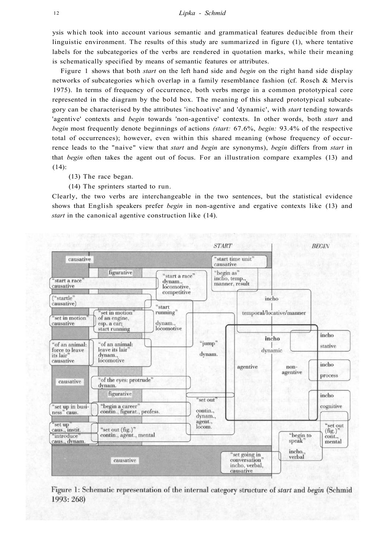ysis which took into account various semantic and grammatical features deducible from their linguistic environment. The results of this study are summarized in figure (1), where tentative labels for the subcategories of the verbs are rendered in quotation marks, while their meaning is schematically specified by means of semantic features or attributes.

Figure 1 shows that both *start* on the left hand side and *begin* on the right hand side display networks of subcategories which overlap in a family resemblance fashion (cf. Rosch & Mervis 1975). In terms of frequency of occurrence, both verbs merge in a common prototypical core represented in the diagram by the bold box. The meaning of this shared prototypical subcategory can be characterised by the attributes 'inchoative' and 'dynamic', with *start* tending towards 'agentive' contexts and *begin* towards 'non-agentive' contexts. In other words, both *start* and *begin* most frequently denote beginnings of actions *(start:* 67.6%, *begin:* 93.4% of the respective total of occurrences); however, even within this shared meaning (whose frequency of occurrence leads to the "naive" view that *start* and *begin* are synonyms), *begin* differs from *start* in that *begin* often takes the agent out of focus. For an illustration compare examples (13) and (14):

- (13) The race began.
- (14) The sprinters started to run.

Clearly, the two verbs are interchangeable in the two sentences, but the statistical evidence shows that English speakers prefer *begin* in non-agentive and ergative contexts like (13) and *start* in the canonical agentive construction like (14).



Figure 1: Schematic representation of the internal category structure of start and begin (Schmid 1993: 268)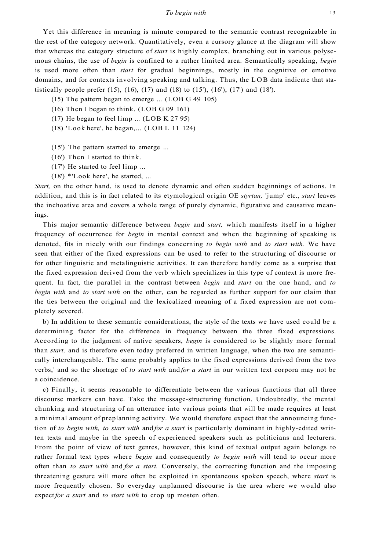#### *To begin with* 13

Yet this difference in meaning is minute compared to the semantic contrast recognizable in the rest of the category network. Quantitatively, even a cursory glance at the diagram will show that whereas the category structure of *start* is highly complex, branching out in various polysemous chains, the use of *begin* is confined to a rather limited area. Semantically speaking, *begin*  is used more often than *start* for gradual beginnings, mostly in the cognitive or emotive domains, and for contexts involving speaking and talking. Thus, the LOB data indicate that statistically people prefer  $(15)$ ,  $(16)$ ,  $(17)$  and  $(18)$  to  $(15')$ ,  $(16')$ ,  $(17')$  and  $(18')$ .

- (15) The pattern began to emerge ... (LOB G 49 105)
- (16) Then I began to think. (LOB G 09 161)
- (17) He began to feel limp ... (LOB K 27 95)
- (18) 'Look here', he began,... (LOB L 11 124)
- (15') The pattern started to emerge ...
- (16') Then I started to think.
- (17') He started to feel limp ...
- (18') \*'Look here', he started, ...

*Start,* on the other hand, is used to denote dynamic and often sudden beginnings of actions. In addition, and this is in fact related to its etymological origin OE *styrtan,* 'jump' etc., *start* leaves the inchoative area and covers a whole range of purely dynamic, figurative and causative meanings.

This major semantic difference between *begin* and *start,* which manifests itself in a higher frequency of occurrence for *begin* in mental context and when the beginning of speaking is denoted, fits in nicely with our findings concerning *to begin with* and *to start with.* We have seen that either of the fixed expressions can be used to refer to the structuring of discourse or for other linguistic and metalinguistic activities. It can therefore hardly come as a surprise that the fixed expression derived from the verb which specializes in this type of context is more frequent. In fact, the parallel in the contrast between *begin* and *start* on the one hand, and *to begin with* and *to start with* on the other, can be regarded as further support for our claim that the ties between the original and the lexicalized meaning of a fixed expression are not completely severed.

b) In addition to these semantic considerations, the style of the texts we have used could be a determining factor for the difference in frequency between the three fixed expressions. According to the judgment of native speakers, *begin* is considered to be slightly more formal than *start,* and is therefore even today preferred in written language, when the two are semantically interchangeable. The same probably applies to the fixed expressions derived from the two verbs,<sup>5</sup> and so the shortage of *to start with* and for a start in our written text corpora may not be a coincidence.

c) Finally, it seems reasonable to differentiate between the various functions that all three discourse markers can have. Take the message-structuring function. Undoubtedly, the mental chunking and structuring of an utterance into various points that will be made requires at least a minimal amount of preplanning activity. We would therefore expect that the announcing function of *to begin with, to start with* and *for a start* is particularly dominant in highly-edited written texts and maybe in the speech of experienced speakers such as politicians and lecturers. From the point of view of text genres, however, this kind of textual output again belongs to rather formal text types where *begin* and consequently *to begin with* will tend to occur more often than *to start with* and *for a start.* Conversely, the correcting function and the imposing threatening gesture will more often be exploited in spontaneous spoken speech, where *start* is more frequently chosen. So everyday unplanned discourse is the area where we would also expect *for a start* and *to start with* to crop up mosten often.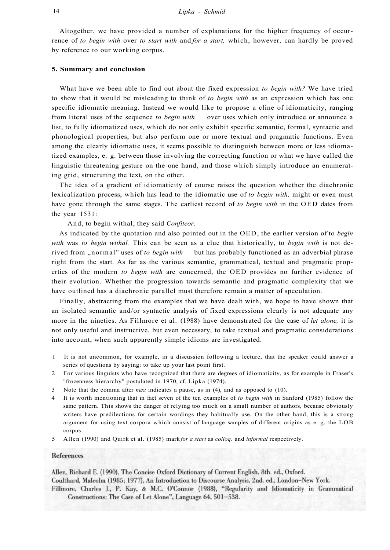Altogether, we have provided a number of explanations for the higher frequency of occurrence of *to begin with* over *to start with* and *for a start,* which, however, can hardly be proved by reference to our working corpus.

#### **5. Summary and conclusion**

What have we been able to find out about the fixed expression *to begin with?* We have tried to show that it would be misleading to think of *to begin with* as an expression which has one specific idiomatic meaning. Instead we would like to propose a cline of idiomaticity, ranging from literal uses of the sequence *to begin with* over uses which only introduce or announce a list, to fully idiomatized uses, which do not only exhibit specific semantic, formal, syntactic and phonological properties, but also perform one or more textual and pragmatic functions. Even among the clearly idiomatic uses, it seems possible to distinguish between more or less idiomatized examples, e. g. between those involving the correcting function or what we have called the linguistic threatening gesture on the one hand, and those which simply introduce an enumerating grid, structuring the text, on the other.

The idea of a gradient of idiomaticity of course raises the question whether the diachronic lexicalization process, which has lead to the idiomatic use of *to begin with,* might or even must have gone through the same stages. The earliest record of *to begin with* in the OED dates from the year 1531:

And, to begin withal, they said *Confiteor.* 

As indicated by the quotation and also pointed out in the OED, the earlier version of to *begin with* was *to begin withal.* This can be seen as a clue that historically, to *begin with* is not derived from "normal" uses of to begin with but has probably functioned as an adverbial phrase right from the start. As far as the various semantic, grammatical, textual and pragmatic properties of the modern *to begin with* are concerned, the OED provides no further evidence of their evolution. Whether the progression towards semantic and pragmatic complexity that we have outlined has a diachronic parallel must therefore remain a matter of speculation.

Finally, abstracting from the examples that we have dealt with, we hope to have shown that an isolated semantic and/or syntactic analysis of fixed expressions clearly is not adequate any more in the nineties. As Fillmore et al. (1988) have demonstrated for the case of *let alone,* it is not only useful and instructive, but even necessary, to take textual and pragmatic considerations into account, when such apparently simple idioms are investigated.

- 1 It is not uncommon, for example, in a discussion following a lecture, that the speaker could answer a series of questions by saying: to take up your last point first.
- 2 For various linguists who have recognized that there are degrees of idiomaticity, as for example in Fraser's "frozenness hierarchy" postulated in 1970, cf. Lipka (1974).
- 3 Note that the comma after *next* indicates a pause, as in (4), and as opposed to (10).
- 4 It is worth mentioning that in fact seven of the ten examples of *to begin with* in Sanford (1985) follow the same pattern. This shows the danger of relying too much on a small number of authors, because obviously writers have predilections for certain wordings they habitually use. On the other hand, this is a strong argument for using text corpora which consist of language samples of different origins as e. g. the LOB corpus.
- 5 Allen (1990) and Quirk et al. (1985) mark *for a start* as *colloq.* and *informal* respectively.

#### References

Allen, Richard E. (1990), The Concise Oxford Dictionary of Current English, 8th. ed., Oxford. Coulthard, Malcolm (1985; 1977). An Introduction to Discourse Analysis, 2nd. ed., London-New York. Fillmore, Charles J., P. Kay, & M.C. O'Connor (1988), "Regularity and Idiomaticity in Grammatical Constructions: The Case of Let Alone", Language 64, 501-538.